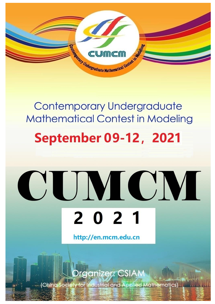

### **Contemporary Undergraduate Mathematical Contest in Modeling**

## **September 09-12, 2021**

# CUMCM 2 0 2 1

http://en.mcm.edu.cn

rganizer: CSIAM

ety for Industrial and Applied Mathematics) (China Soci